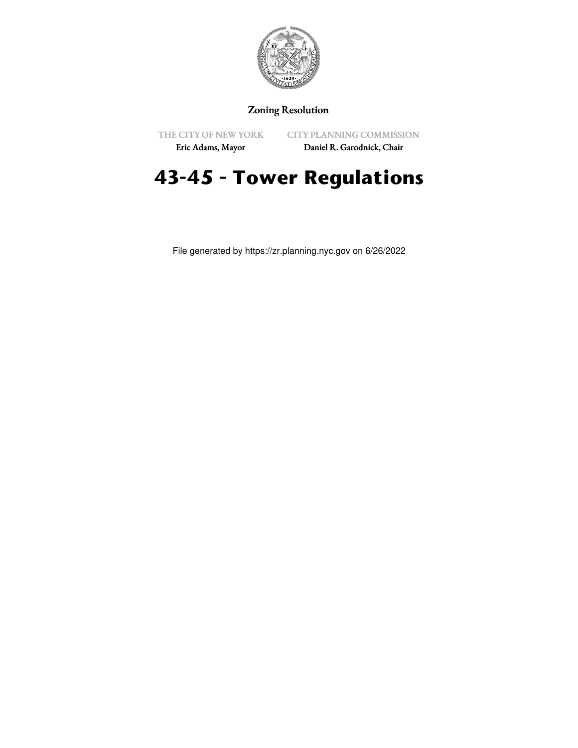

# Zoning Resolution

THE CITY OF NEW YORK

CITY PLANNING COMMISSION

Eric Adams, Mayor

Daniel R. Garodnick, Chair

# **43-45 - Tower Regulations**

File generated by https://zr.planning.nyc.gov on 6/26/2022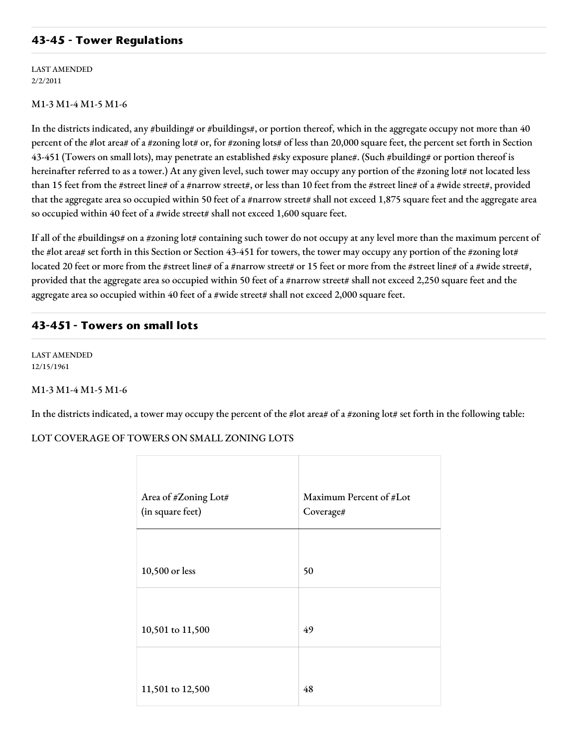# **43-45 - Tower Regulations**

LAST AMENDED 2/2/2011

#### M1-3 M1-4 M1-5 M1-6

In the districts indicated, any #building# or #buildings#, or portion thereof, which in the aggregate occupy not more than 40 percent of the #lot area# of a #zoning lot# or, for #zoning lots# of less than 20,000 square feet, the percent set forth in Section 43-451 (Towers on small lots), may penetrate an established #sky exposure plane#. (Such #building# or portion thereof is hereinafter referred to as a tower.) At any given level, such tower may occupy any portion of the #zoning lot# not located less than 15 feet from the #street line# of a #narrow street#, or less than 10 feet from the #street line# of a #wide street#, provided that the aggregate area so occupied within 50 feet of a #narrow street# shall not exceed 1,875 square feet and the aggregate area so occupied within 40 feet of a #wide street# shall not exceed 1,600 square feet.

If all of the #buildings# on a #zoning lot# containing such tower do not occupy at any level more than the maximum percent of the #lot area# set forth in this Section or Section 43-451 for towers, the tower may occupy any portion of the #zoning lot# located 20 feet or more from the #street line# of a #narrow street# or 15 feet or more from the #street line# of a #wide street#, provided that the aggregate area so occupied within 50 feet of a #narrow street# shall not exceed 2,250 square feet and the aggregate area so occupied within 40 feet of a #wide street# shall not exceed 2,000 square feet.

## **43-451 - Towers on small lots**

LAST AMENDED 12/15/1961

## M1-3 M1-4 M1-5 M1-6

In the districts indicated, a tower may occupy the percent of the #lot area# of a #zoning lot# set forth in the following table:

## LOT COVERAGE OF TOWERS ON SMALL ZONING LOTS

| Area of #Zoning Lot# | Maximum Percent of #Lot |
|----------------------|-------------------------|
| (in square feet)     | Coverage#               |
|                      |                         |
| 10,500 or less       | 50                      |
|                      |                         |
| 10,501 to 11,500     | 49                      |
|                      |                         |
| 11,501 to 12,500     | 48                      |